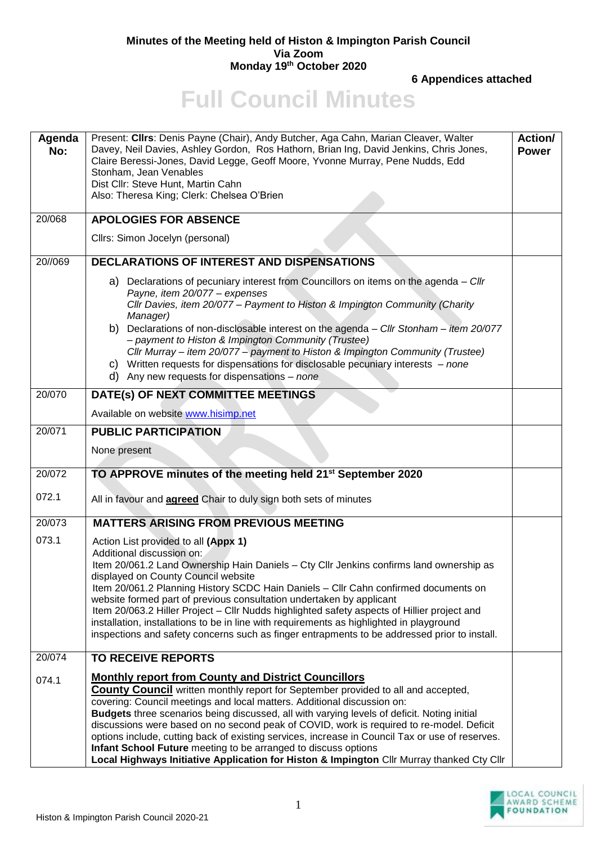## **Minutes of the Meeting held of Histon & Impington Parish Council Via Zoom Monday 19th October 2020**

**6 Appendices attached**

## **Full Council Minutes**

| Agenda<br>No: | Present: Clirs: Denis Payne (Chair), Andy Butcher, Aga Cahn, Marian Cleaver, Walter<br>Davey, Neil Davies, Ashley Gordon, Ros Hathorn, Brian Ing, David Jenkins, Chris Jones,<br>Claire Beressi-Jones, David Legge, Geoff Moore, Yvonne Murray, Pene Nudds, Edd<br>Stonham, Jean Venables<br>Dist Cllr: Steve Hunt, Martin Cahn<br>Also: Theresa King; Clerk: Chelsea O'Brien                                                                                                                                                                                                                                                                                                                  | Action/<br><b>Power</b> |
|---------------|------------------------------------------------------------------------------------------------------------------------------------------------------------------------------------------------------------------------------------------------------------------------------------------------------------------------------------------------------------------------------------------------------------------------------------------------------------------------------------------------------------------------------------------------------------------------------------------------------------------------------------------------------------------------------------------------|-------------------------|
| 20/068        | <b>APOLOGIES FOR ABSENCE</b>                                                                                                                                                                                                                                                                                                                                                                                                                                                                                                                                                                                                                                                                   |                         |
|               | Cllrs: Simon Jocelyn (personal)                                                                                                                                                                                                                                                                                                                                                                                                                                                                                                                                                                                                                                                                |                         |
| 20//069       | <b>DECLARATIONS OF INTEREST AND DISPENSATIONS</b>                                                                                                                                                                                                                                                                                                                                                                                                                                                                                                                                                                                                                                              |                         |
|               | Declarations of pecuniary interest from Councillors on items on the agenda - Cllr<br>a)<br>Payne, item 20/077 - expenses<br>Cllr Davies, item 20/077 - Payment to Histon & Impington Community (Charity<br>Manager)<br>Declarations of non-disclosable interest on the agenda - Cllr Stonham - item 20/077<br>b)<br>- payment to Histon & Impington Community (Trustee)<br>Cllr Murray - item 20/077 - payment to Histon & Impington Community (Trustee)<br>c) Written requests for dispensations for disclosable pecuniary interests $-$ none<br>d) Any new requests for dispensations $-$ none                                                                                               |                         |
| 20/070        | DATE(s) OF NEXT COMMITTEE MEETINGS                                                                                                                                                                                                                                                                                                                                                                                                                                                                                                                                                                                                                                                             |                         |
|               | Available on website www.hisimp.net                                                                                                                                                                                                                                                                                                                                                                                                                                                                                                                                                                                                                                                            |                         |
| 20/071        | <b>PUBLIC PARTICIPATION</b>                                                                                                                                                                                                                                                                                                                                                                                                                                                                                                                                                                                                                                                                    |                         |
|               | None present                                                                                                                                                                                                                                                                                                                                                                                                                                                                                                                                                                                                                                                                                   |                         |
| 20/072        | TO APPROVE minutes of the meeting held 21 <sup>st</sup> September 2020                                                                                                                                                                                                                                                                                                                                                                                                                                                                                                                                                                                                                         |                         |
| 072.1         | All in favour and <b>agreed</b> Chair to duly sign both sets of minutes                                                                                                                                                                                                                                                                                                                                                                                                                                                                                                                                                                                                                        |                         |
| 20/073        | <b>MATTERS ARISING FROM PREVIOUS MEETING</b>                                                                                                                                                                                                                                                                                                                                                                                                                                                                                                                                                                                                                                                   |                         |
| 073.1         | Action List provided to all (Appx 1)<br>Additional discussion on:<br>Item 20/061.2 Land Ownership Hain Daniels - Cty Cllr Jenkins confirms land ownership as<br>displayed on County Council website<br>Item 20/061.2 Planning History SCDC Hain Daniels - Cllr Cahn confirmed documents on<br>website formed part of previous consultation undertaken by applicant<br>Item 20/063.2 Hiller Project - Cllr Nudds highlighted safety aspects of Hillier project and<br>installation, installations to be in line with requirements as highlighted in playground<br>inspections and safety concerns such as finger entrapments to be addressed prior to install.                                  |                         |
| 20/074        | <b>TO RECEIVE REPORTS</b>                                                                                                                                                                                                                                                                                                                                                                                                                                                                                                                                                                                                                                                                      |                         |
| 074.1         | <b>Monthly report from County and District Councillors</b><br><b>County Council</b> written monthly report for September provided to all and accepted,<br>covering: Council meetings and local matters. Additional discussion on:<br>Budgets three scenarios being discussed, all with varying levels of deficit. Noting initial<br>discussions were based on no second peak of COVID, work is required to re-model. Deficit<br>options include, cutting back of existing services, increase in Council Tax or use of reserves.<br>Infant School Future meeting to be arranged to discuss options<br>Local Highways Initiative Application for Histon & Impington Cllr Murray thanked Cty Cllr |                         |

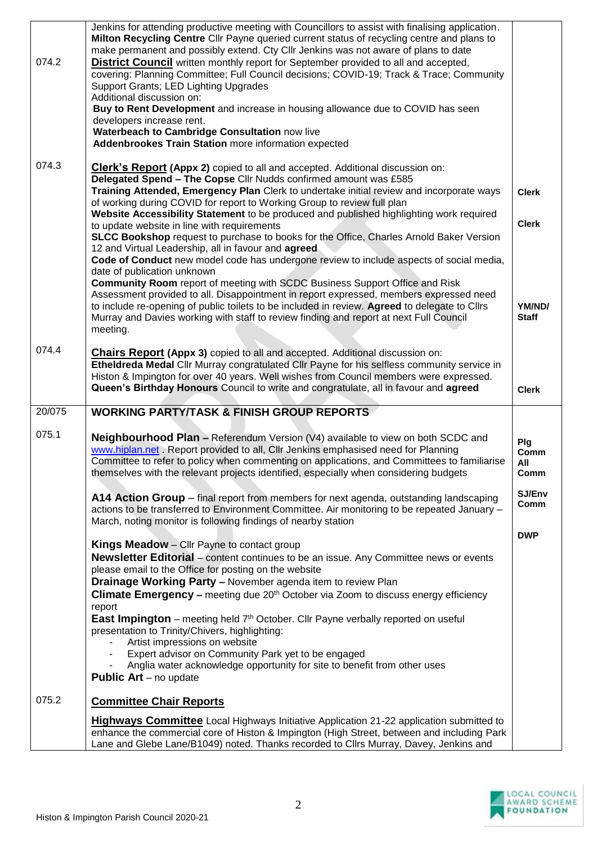| covering: Planning Committee; Full Council decisions; COVID-19; Track & Trace; Community<br>Support Grants; LED Lighting Upgrades<br>Additional discussion on:<br>Buy to Rent Development and increase in housing allowance due to COVID has seen<br>developers increase rent.<br>Waterbeach to Cambridge Consultation now live<br><b>Addenbrookes Train Station more information expected</b><br>074.3<br><b>Clerk's Report (Appx 2)</b> copied to all and accepted. Additional discussion on:<br>Delegated Spend - The Copse Cllr Nudds confirmed amount was £585<br>Training Attended, Emergency Plan Clerk to undertake initial review and incorporate ways<br><b>Clerk</b><br>of working during COVID for report to Working Group to review full plan<br>Website Accessibility Statement to be produced and published highlighting work required<br><b>Clerk</b><br>to update website in line with requirements<br>SLCC Bookshop request to purchase to books for the Office, Charles Arnold Baker Version<br>12 and Virtual Leadership, all in favour and agreed<br>Code of Conduct new model code has undergone review to include aspects of social media,<br>date of publication unknown<br><b>Community Room</b> report of meeting with SCDC Business Support Office and Risk<br>Assessment provided to all. Disappointment in report expressed, members expressed need<br>to include re-opening of public toilets to be included in review. Agreed to delegate to Cllrs<br>YM/ND/<br>Murray and Davies working with staff to review finding and report at next Full Council<br><b>Staff</b><br>meeting.<br>074.4<br><b>Chairs Report (Appx 3)</b> copied to all and accepted. Additional discussion on:<br>Etheldreda Medal Cllr Murray congratulated Cllr Payne for his selfless community service in<br>Histon & Impington for over 40 years. Well wishes from Council members were expressed.<br>Queen's Birthday Honours Council to write and congratulate, all in favour and agreed<br><b>Clerk</b><br>20/075<br><b>WORKING PARTY/TASK &amp; FINISH GROUP REPORTS</b><br>075.1<br><b>Neighbourhood Plan - Referendum Version (V4) available to view on both SCDC and</b><br>Plg<br>www.hiplan.net . Report provided to all, Cllr Jenkins emphasised need for Planning<br>Comm<br>Committee to refer to policy when commenting on applications, and Committees to familiarise<br>All<br>themselves with the relevant projects identified, especially when considering budgets<br>Comm<br>SJ/Env<br>A14 Action Group – final report from members for next agenda, outstanding landscaping<br>Comm<br>actions to be transferred to Environment Committee. Air monitoring to be repeated January -<br>March, noting monitor is following findings of nearby station<br><b>DWP</b><br>Kings Meadow - Cllr Payne to contact group<br>Newsletter Editorial - content continues to be an issue. Any Committee news or events<br>please email to the Office for posting on the website<br><b>Drainage Working Party - November agenda item to review Plan</b><br><b>Climate Emergency –</b> meeting due $20th$ October via Zoom to discuss energy efficiency<br>report<br><b>East Impington</b> – meeting held $7th$ October. Cllr Payne verbally reported on useful<br>presentation to Trinity/Chivers, highlighting:<br>Artist impressions on website<br>Expert advisor on Community Park yet to be engaged<br>Anglia water acknowledge opportunity for site to benefit from other uses<br><b>Public Art</b> – no update<br>075.2<br><b>Committee Chair Reports</b><br><b>Highways Committee</b> Local Highways Initiative Application 21-22 application submitted to<br>enhance the commercial core of Histon & Impington (High Street, between and including Park<br>Lane and Glebe Lane/B1049) noted. Thanks recorded to Cllrs Murray, Davey, Jenkins and |       | Jenkins for attending productive meeting with Councillors to assist with finalising application.<br>Milton Recycling Centre Cllr Payne queried current status of recycling centre and plans to<br>make permanent and possibly extend. Cty Cllr Jenkins was not aware of plans to date |  |
|----------------------------------------------------------------------------------------------------------------------------------------------------------------------------------------------------------------------------------------------------------------------------------------------------------------------------------------------------------------------------------------------------------------------------------------------------------------------------------------------------------------------------------------------------------------------------------------------------------------------------------------------------------------------------------------------------------------------------------------------------------------------------------------------------------------------------------------------------------------------------------------------------------------------------------------------------------------------------------------------------------------------------------------------------------------------------------------------------------------------------------------------------------------------------------------------------------------------------------------------------------------------------------------------------------------------------------------------------------------------------------------------------------------------------------------------------------------------------------------------------------------------------------------------------------------------------------------------------------------------------------------------------------------------------------------------------------------------------------------------------------------------------------------------------------------------------------------------------------------------------------------------------------------------------------------------------------------------------------------------------------------------------------------------------------------------------------------------------------------------------------------------------------------------------------------------------------------------------------------------------------------------------------------------------------------------------------------------------------------------------------------------------------------------------------------------------------------------------------------------------------------------------------------------------------------------------------------------------------------------------------------------------------------------------------------------------------------------------------------------------------------------------------------------------------------------------------------------------------------------------------------------------------------------------------------------------------------------------------------------------------------------------------------------------------------------------------------------------------------------------------------------------------------------------------------------------------------------------------------------------------------------------------------------------------------------------------------------------------------------------------------------------------------------------------------------------------------------------------------------------------------------------------------------------------------------------------------------------------------------------------------------------------------------------------------------------------------------------------------------------------------------------------------------------------------------------------------------------------------------|-------|---------------------------------------------------------------------------------------------------------------------------------------------------------------------------------------------------------------------------------------------------------------------------------------|--|
|                                                                                                                                                                                                                                                                                                                                                                                                                                                                                                                                                                                                                                                                                                                                                                                                                                                                                                                                                                                                                                                                                                                                                                                                                                                                                                                                                                                                                                                                                                                                                                                                                                                                                                                                                                                                                                                                                                                                                                                                                                                                                                                                                                                                                                                                                                                                                                                                                                                                                                                                                                                                                                                                                                                                                                                                                                                                                                                                                                                                                                                                                                                                                                                                                                                                                                                                                                                                                                                                                                                                                                                                                                                                                                                                                                                                                                                                      | 074.2 | <b>District Council</b> written monthly report for September provided to all and accepted,                                                                                                                                                                                            |  |
|                                                                                                                                                                                                                                                                                                                                                                                                                                                                                                                                                                                                                                                                                                                                                                                                                                                                                                                                                                                                                                                                                                                                                                                                                                                                                                                                                                                                                                                                                                                                                                                                                                                                                                                                                                                                                                                                                                                                                                                                                                                                                                                                                                                                                                                                                                                                                                                                                                                                                                                                                                                                                                                                                                                                                                                                                                                                                                                                                                                                                                                                                                                                                                                                                                                                                                                                                                                                                                                                                                                                                                                                                                                                                                                                                                                                                                                                      |       |                                                                                                                                                                                                                                                                                       |  |
|                                                                                                                                                                                                                                                                                                                                                                                                                                                                                                                                                                                                                                                                                                                                                                                                                                                                                                                                                                                                                                                                                                                                                                                                                                                                                                                                                                                                                                                                                                                                                                                                                                                                                                                                                                                                                                                                                                                                                                                                                                                                                                                                                                                                                                                                                                                                                                                                                                                                                                                                                                                                                                                                                                                                                                                                                                                                                                                                                                                                                                                                                                                                                                                                                                                                                                                                                                                                                                                                                                                                                                                                                                                                                                                                                                                                                                                                      |       |                                                                                                                                                                                                                                                                                       |  |
|                                                                                                                                                                                                                                                                                                                                                                                                                                                                                                                                                                                                                                                                                                                                                                                                                                                                                                                                                                                                                                                                                                                                                                                                                                                                                                                                                                                                                                                                                                                                                                                                                                                                                                                                                                                                                                                                                                                                                                                                                                                                                                                                                                                                                                                                                                                                                                                                                                                                                                                                                                                                                                                                                                                                                                                                                                                                                                                                                                                                                                                                                                                                                                                                                                                                                                                                                                                                                                                                                                                                                                                                                                                                                                                                                                                                                                                                      |       |                                                                                                                                                                                                                                                                                       |  |
|                                                                                                                                                                                                                                                                                                                                                                                                                                                                                                                                                                                                                                                                                                                                                                                                                                                                                                                                                                                                                                                                                                                                                                                                                                                                                                                                                                                                                                                                                                                                                                                                                                                                                                                                                                                                                                                                                                                                                                                                                                                                                                                                                                                                                                                                                                                                                                                                                                                                                                                                                                                                                                                                                                                                                                                                                                                                                                                                                                                                                                                                                                                                                                                                                                                                                                                                                                                                                                                                                                                                                                                                                                                                                                                                                                                                                                                                      |       |                                                                                                                                                                                                                                                                                       |  |
|                                                                                                                                                                                                                                                                                                                                                                                                                                                                                                                                                                                                                                                                                                                                                                                                                                                                                                                                                                                                                                                                                                                                                                                                                                                                                                                                                                                                                                                                                                                                                                                                                                                                                                                                                                                                                                                                                                                                                                                                                                                                                                                                                                                                                                                                                                                                                                                                                                                                                                                                                                                                                                                                                                                                                                                                                                                                                                                                                                                                                                                                                                                                                                                                                                                                                                                                                                                                                                                                                                                                                                                                                                                                                                                                                                                                                                                                      |       |                                                                                                                                                                                                                                                                                       |  |
|                                                                                                                                                                                                                                                                                                                                                                                                                                                                                                                                                                                                                                                                                                                                                                                                                                                                                                                                                                                                                                                                                                                                                                                                                                                                                                                                                                                                                                                                                                                                                                                                                                                                                                                                                                                                                                                                                                                                                                                                                                                                                                                                                                                                                                                                                                                                                                                                                                                                                                                                                                                                                                                                                                                                                                                                                                                                                                                                                                                                                                                                                                                                                                                                                                                                                                                                                                                                                                                                                                                                                                                                                                                                                                                                                                                                                                                                      |       |                                                                                                                                                                                                                                                                                       |  |
|                                                                                                                                                                                                                                                                                                                                                                                                                                                                                                                                                                                                                                                                                                                                                                                                                                                                                                                                                                                                                                                                                                                                                                                                                                                                                                                                                                                                                                                                                                                                                                                                                                                                                                                                                                                                                                                                                                                                                                                                                                                                                                                                                                                                                                                                                                                                                                                                                                                                                                                                                                                                                                                                                                                                                                                                                                                                                                                                                                                                                                                                                                                                                                                                                                                                                                                                                                                                                                                                                                                                                                                                                                                                                                                                                                                                                                                                      |       |                                                                                                                                                                                                                                                                                       |  |
|                                                                                                                                                                                                                                                                                                                                                                                                                                                                                                                                                                                                                                                                                                                                                                                                                                                                                                                                                                                                                                                                                                                                                                                                                                                                                                                                                                                                                                                                                                                                                                                                                                                                                                                                                                                                                                                                                                                                                                                                                                                                                                                                                                                                                                                                                                                                                                                                                                                                                                                                                                                                                                                                                                                                                                                                                                                                                                                                                                                                                                                                                                                                                                                                                                                                                                                                                                                                                                                                                                                                                                                                                                                                                                                                                                                                                                                                      |       |                                                                                                                                                                                                                                                                                       |  |
|                                                                                                                                                                                                                                                                                                                                                                                                                                                                                                                                                                                                                                                                                                                                                                                                                                                                                                                                                                                                                                                                                                                                                                                                                                                                                                                                                                                                                                                                                                                                                                                                                                                                                                                                                                                                                                                                                                                                                                                                                                                                                                                                                                                                                                                                                                                                                                                                                                                                                                                                                                                                                                                                                                                                                                                                                                                                                                                                                                                                                                                                                                                                                                                                                                                                                                                                                                                                                                                                                                                                                                                                                                                                                                                                                                                                                                                                      |       |                                                                                                                                                                                                                                                                                       |  |
|                                                                                                                                                                                                                                                                                                                                                                                                                                                                                                                                                                                                                                                                                                                                                                                                                                                                                                                                                                                                                                                                                                                                                                                                                                                                                                                                                                                                                                                                                                                                                                                                                                                                                                                                                                                                                                                                                                                                                                                                                                                                                                                                                                                                                                                                                                                                                                                                                                                                                                                                                                                                                                                                                                                                                                                                                                                                                                                                                                                                                                                                                                                                                                                                                                                                                                                                                                                                                                                                                                                                                                                                                                                                                                                                                                                                                                                                      |       |                                                                                                                                                                                                                                                                                       |  |
|                                                                                                                                                                                                                                                                                                                                                                                                                                                                                                                                                                                                                                                                                                                                                                                                                                                                                                                                                                                                                                                                                                                                                                                                                                                                                                                                                                                                                                                                                                                                                                                                                                                                                                                                                                                                                                                                                                                                                                                                                                                                                                                                                                                                                                                                                                                                                                                                                                                                                                                                                                                                                                                                                                                                                                                                                                                                                                                                                                                                                                                                                                                                                                                                                                                                                                                                                                                                                                                                                                                                                                                                                                                                                                                                                                                                                                                                      |       |                                                                                                                                                                                                                                                                                       |  |
|                                                                                                                                                                                                                                                                                                                                                                                                                                                                                                                                                                                                                                                                                                                                                                                                                                                                                                                                                                                                                                                                                                                                                                                                                                                                                                                                                                                                                                                                                                                                                                                                                                                                                                                                                                                                                                                                                                                                                                                                                                                                                                                                                                                                                                                                                                                                                                                                                                                                                                                                                                                                                                                                                                                                                                                                                                                                                                                                                                                                                                                                                                                                                                                                                                                                                                                                                                                                                                                                                                                                                                                                                                                                                                                                                                                                                                                                      |       |                                                                                                                                                                                                                                                                                       |  |
|                                                                                                                                                                                                                                                                                                                                                                                                                                                                                                                                                                                                                                                                                                                                                                                                                                                                                                                                                                                                                                                                                                                                                                                                                                                                                                                                                                                                                                                                                                                                                                                                                                                                                                                                                                                                                                                                                                                                                                                                                                                                                                                                                                                                                                                                                                                                                                                                                                                                                                                                                                                                                                                                                                                                                                                                                                                                                                                                                                                                                                                                                                                                                                                                                                                                                                                                                                                                                                                                                                                                                                                                                                                                                                                                                                                                                                                                      |       |                                                                                                                                                                                                                                                                                       |  |
|                                                                                                                                                                                                                                                                                                                                                                                                                                                                                                                                                                                                                                                                                                                                                                                                                                                                                                                                                                                                                                                                                                                                                                                                                                                                                                                                                                                                                                                                                                                                                                                                                                                                                                                                                                                                                                                                                                                                                                                                                                                                                                                                                                                                                                                                                                                                                                                                                                                                                                                                                                                                                                                                                                                                                                                                                                                                                                                                                                                                                                                                                                                                                                                                                                                                                                                                                                                                                                                                                                                                                                                                                                                                                                                                                                                                                                                                      |       |                                                                                                                                                                                                                                                                                       |  |
|                                                                                                                                                                                                                                                                                                                                                                                                                                                                                                                                                                                                                                                                                                                                                                                                                                                                                                                                                                                                                                                                                                                                                                                                                                                                                                                                                                                                                                                                                                                                                                                                                                                                                                                                                                                                                                                                                                                                                                                                                                                                                                                                                                                                                                                                                                                                                                                                                                                                                                                                                                                                                                                                                                                                                                                                                                                                                                                                                                                                                                                                                                                                                                                                                                                                                                                                                                                                                                                                                                                                                                                                                                                                                                                                                                                                                                                                      |       |                                                                                                                                                                                                                                                                                       |  |
|                                                                                                                                                                                                                                                                                                                                                                                                                                                                                                                                                                                                                                                                                                                                                                                                                                                                                                                                                                                                                                                                                                                                                                                                                                                                                                                                                                                                                                                                                                                                                                                                                                                                                                                                                                                                                                                                                                                                                                                                                                                                                                                                                                                                                                                                                                                                                                                                                                                                                                                                                                                                                                                                                                                                                                                                                                                                                                                                                                                                                                                                                                                                                                                                                                                                                                                                                                                                                                                                                                                                                                                                                                                                                                                                                                                                                                                                      |       |                                                                                                                                                                                                                                                                                       |  |
|                                                                                                                                                                                                                                                                                                                                                                                                                                                                                                                                                                                                                                                                                                                                                                                                                                                                                                                                                                                                                                                                                                                                                                                                                                                                                                                                                                                                                                                                                                                                                                                                                                                                                                                                                                                                                                                                                                                                                                                                                                                                                                                                                                                                                                                                                                                                                                                                                                                                                                                                                                                                                                                                                                                                                                                                                                                                                                                                                                                                                                                                                                                                                                                                                                                                                                                                                                                                                                                                                                                                                                                                                                                                                                                                                                                                                                                                      |       |                                                                                                                                                                                                                                                                                       |  |
|                                                                                                                                                                                                                                                                                                                                                                                                                                                                                                                                                                                                                                                                                                                                                                                                                                                                                                                                                                                                                                                                                                                                                                                                                                                                                                                                                                                                                                                                                                                                                                                                                                                                                                                                                                                                                                                                                                                                                                                                                                                                                                                                                                                                                                                                                                                                                                                                                                                                                                                                                                                                                                                                                                                                                                                                                                                                                                                                                                                                                                                                                                                                                                                                                                                                                                                                                                                                                                                                                                                                                                                                                                                                                                                                                                                                                                                                      |       |                                                                                                                                                                                                                                                                                       |  |
|                                                                                                                                                                                                                                                                                                                                                                                                                                                                                                                                                                                                                                                                                                                                                                                                                                                                                                                                                                                                                                                                                                                                                                                                                                                                                                                                                                                                                                                                                                                                                                                                                                                                                                                                                                                                                                                                                                                                                                                                                                                                                                                                                                                                                                                                                                                                                                                                                                                                                                                                                                                                                                                                                                                                                                                                                                                                                                                                                                                                                                                                                                                                                                                                                                                                                                                                                                                                                                                                                                                                                                                                                                                                                                                                                                                                                                                                      |       |                                                                                                                                                                                                                                                                                       |  |

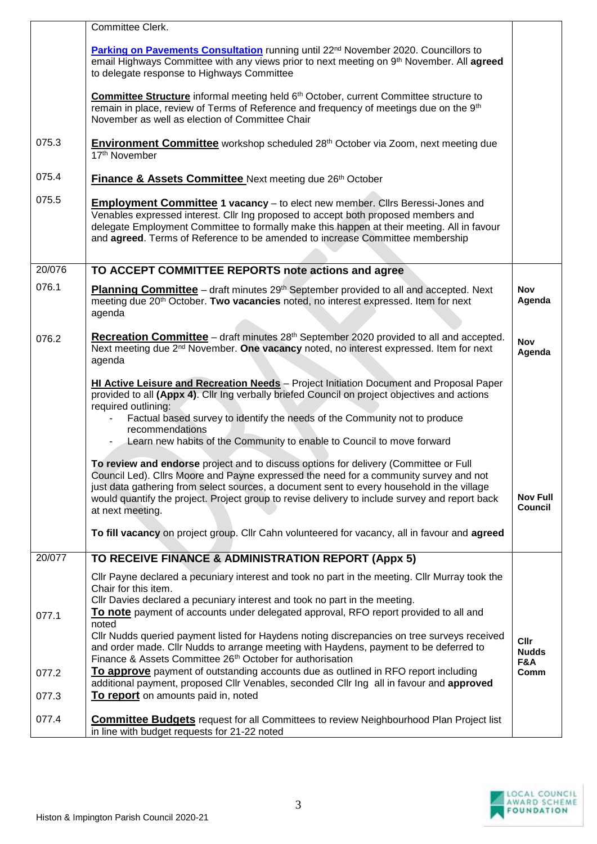|        | Committee Clerk.                                                                                                                                                                                                                                                                                                                                                                                                                                                                                   |                             |
|--------|----------------------------------------------------------------------------------------------------------------------------------------------------------------------------------------------------------------------------------------------------------------------------------------------------------------------------------------------------------------------------------------------------------------------------------------------------------------------------------------------------|-----------------------------|
|        | Parking on Pavements Consultation running until 22nd November 2020. Councillors to<br>email Highways Committee with any views prior to next meeting on 9 <sup>th</sup> November. All agreed<br>to delegate response to Highways Committee                                                                                                                                                                                                                                                          |                             |
|        | <b>Committee Structure</b> informal meeting held 6 <sup>th</sup> October, current Committee structure to<br>remain in place, review of Terms of Reference and frequency of meetings due on the 9th<br>November as well as election of Committee Chair                                                                                                                                                                                                                                              |                             |
| 075.3  | <b>Environment Committee</b> workshop scheduled 28 <sup>th</sup> October via Zoom, next meeting due<br>17th November                                                                                                                                                                                                                                                                                                                                                                               |                             |
| 075.4  | Finance & Assets Committee Next meeting due 26th October                                                                                                                                                                                                                                                                                                                                                                                                                                           |                             |
| 075.5  | <b>Employment Committee 1 vacancy</b> - to elect new member. Clirs Beressi-Jones and<br>Venables expressed interest. Cllr Ing proposed to accept both proposed members and<br>delegate Employment Committee to formally make this happen at their meeting. All in favour<br>and agreed. Terms of Reference to be amended to increase Committee membership                                                                                                                                          |                             |
| 20/076 | TO ACCEPT COMMITTEE REPORTS note actions and agree                                                                                                                                                                                                                                                                                                                                                                                                                                                 |                             |
| 076.1  | <b>Planning Committee</b> – draft minutes 29 <sup>th</sup> September provided to all and accepted. Next<br>meeting due 20 <sup>th</sup> October. Two vacancies noted, no interest expressed. Item for next<br>agenda                                                                                                                                                                                                                                                                               | <b>Nov</b><br>Agenda        |
| 076.2  | Recreation Committee - draft minutes 28th September 2020 provided to all and accepted.<br>Next meeting due 2 <sup>nd</sup> November. One vacancy noted, no interest expressed. Item for next<br>agenda                                                                                                                                                                                                                                                                                             | <b>Nov</b><br>Agenda        |
|        | HI Active Leisure and Recreation Needs - Project Initiation Document and Proposal Paper<br>provided to all (Appx 4). Cllr Ing verbally briefed Council on project objectives and actions<br>required outlining:<br>Factual based survey to identify the needs of the Community not to produce<br>recommendations<br>Learn new habits of the Community to enable to Council to move forward                                                                                                         |                             |
|        | To review and endorse project and to discuss options for delivery (Committee or Full<br>Council Led). Cllrs Moore and Payne expressed the need for a community survey and not<br>just data gathering from select sources, a document sent to every household in the village<br>would quantify the project. Project group to revise delivery to include survey and report back<br>at next meeting.<br>To fill vacancy on project group. Cllr Cahn volunteered for vacancy, all in favour and agreed | <b>Nov Full</b><br>Council  |
| 20/077 | TO RECEIVE FINANCE & ADMINISTRATION REPORT (Appx 5)                                                                                                                                                                                                                                                                                                                                                                                                                                                |                             |
|        | Cllr Payne declared a pecuniary interest and took no part in the meeting. Cllr Murray took the<br>Chair for this item.                                                                                                                                                                                                                                                                                                                                                                             |                             |
| 077.1  | CIIr Davies declared a pecuniary interest and took no part in the meeting.<br>To note payment of accounts under delegated approval, RFO report provided to all and<br>noted                                                                                                                                                                                                                                                                                                                        |                             |
|        | CIIr Nudds queried payment listed for Haydens noting discrepancies on tree surveys received<br>and order made. Cllr Nudds to arrange meeting with Haydens, payment to be deferred to<br>Finance & Assets Committee 26 <sup>th</sup> October for authorisation                                                                                                                                                                                                                                      | Cllr<br><b>Nudds</b><br>F&A |
| 077.2  | To approve payment of outstanding accounts due as outlined in RFO report including<br>additional payment, proposed Cllr Venables, seconded Cllr Ing all in favour and approved                                                                                                                                                                                                                                                                                                                     | Comm                        |
| 077.3  | To report on amounts paid in, noted                                                                                                                                                                                                                                                                                                                                                                                                                                                                |                             |
| 077.4  | <b>Committee Budgets</b> request for all Committees to review Neighbourhood Plan Project list<br>in line with budget requests for 21-22 noted                                                                                                                                                                                                                                                                                                                                                      |                             |